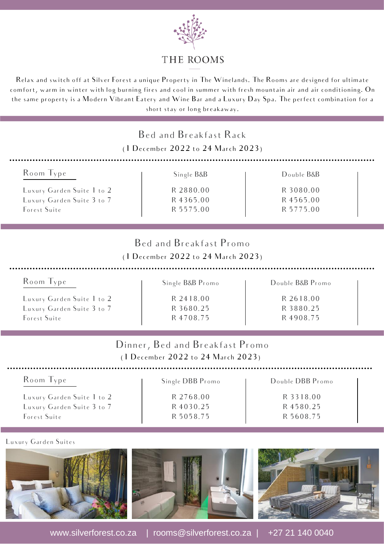

### THE ROOMS

Relax and switch off at Silver Forest a unique Property in The Winelands. The Rooms are designed for ultimate comfort, warm in winter with log burning fires and cool in summer with fresh mountain air and air conditioning. On the same property is a Modern Vibrant Eatery and Wine Bar and a Luxury Day Spa. The perfect combination for a short stay or long breakaway.

| Bed and Breakfast Rack<br>(1 December 2022 to 24 March 2023) |                                                                       |                  |  |  |
|--------------------------------------------------------------|-----------------------------------------------------------------------|------------------|--|--|
| Room Type                                                    | Single B&B                                                            | Double B&B       |  |  |
| Luxury Garden Suite 1 to 2                                   | R 2880.00                                                             | R 3080.00        |  |  |
| Luxury Garden Suite 3 to 7                                   | R 4365.00                                                             | R 4565.00        |  |  |
| Forest Suite                                                 | R 5575.00                                                             | R 5775.00        |  |  |
|                                                              | Bed and Breakfast Promo<br>(1 December 2022 to 24 March 2023)         |                  |  |  |
| Room Type                                                    | Single B&B Promo                                                      | Double B&B Promo |  |  |
| Luxury Garden Suite 1 to 2                                   | R 2418.00                                                             | R 2618.00        |  |  |
| Luxury Garden Suite 3 to 7                                   | R 3680.25                                                             | R 3880.25        |  |  |
| Forest Suite                                                 | R 4708.75                                                             | R 4908.75        |  |  |
|                                                              | Dinner, Bed and Breakfast Promo<br>(1 December 2022 to 24 March 2023) |                  |  |  |
| Room Type                                                    | Single DBB Promo                                                      | Double DBB Promo |  |  |
| Luxury Garden Suite 1 to 2                                   | R 2768.00                                                             | R 3318.00        |  |  |
| Luxury Garden Suite 3 to 7                                   | R 4030.25                                                             | R 4580.25        |  |  |
| Forest Suite                                                 | R 5058.75                                                             | R 5608.75        |  |  |

Luxury Garden Suites